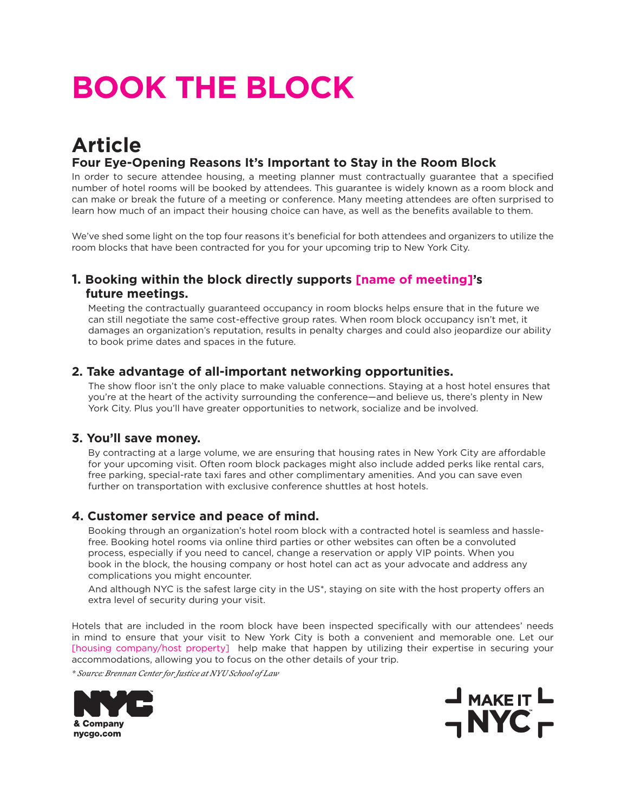# **BOOK THE BLOCK**

### **Article Four Eye-Opening Reasons It's Important to Stay in the Room Block**

In order to secure attendee housing, a meeting planner must contractually guarantee that a specified number of hotel rooms will be booked by attendees. This guarantee is widely known as a room block and can make or break the future of a meeting or conference. Many meeting attendees are often surprised to learn how much of an impact their housing choice can have, as well as the benefits available to them.

We've shed some light on the top four reasons it's beneficial for both attendees and organizers to utilize the room blocks that have been contracted for you for your upcoming trip to New York City.

#### **1. Booking within the block directly supports [name of meeting]'s future meetings.**

Meeting the contractually guaranteed occupancy in room blocks helps ensure that in the future we can still negotiate the same cost-effective group rates. When room block occupancy isn't met, it damages an organization's reputation, results in penalty charges and could also jeopardize our ability to book prime dates and spaces in the future.

#### **2. Take advantage of all-important networking opportunities.**

The show floor isn't the only place to make valuable connections. Staying at a host hotel ensures that you're at the heart of the activity surrounding the conference—and believe us, there's plenty in New York City. Plus you'll have greater opportunities to network, socialize and be involved.

#### **3. You'll save money.**

By contracting at a large volume, we are ensuring that housing rates in New York City are affordable for your upcoming visit. Often room block packages might also include added perks like rental cars, free parking, special-rate taxi fares and other complimentary amenities. And you can save even further on transportation with exclusive conference shuttles at host hotels.

#### **4. Customer service and peace of mind.**

Booking through an organization's hotel room block with a contracted hotel is seamless and hasslefree. Booking hotel rooms via online third parties or other websites can often be a convoluted process, especially if you need to cancel, change a reservation or apply VIP points. When you book in the block, the housing company or host hotel can act as your advocate and address any complications you might encounter.

And although NYC is the safest large city in the US\*, staying on site with the host property offers an extra level of security during your visit.

Hotels that are included in the room block have been inspected specifically with our attendees' needs in mind to ensure that your visit to New York City is both a convenient and memorable one. Let our [housing company/host property] help make that happen by utilizing their expertise in securing your accommodations, allowing you to focus on the other details of your trip.

*\* Source: Brennan Center for Justice at NYU School of Law*